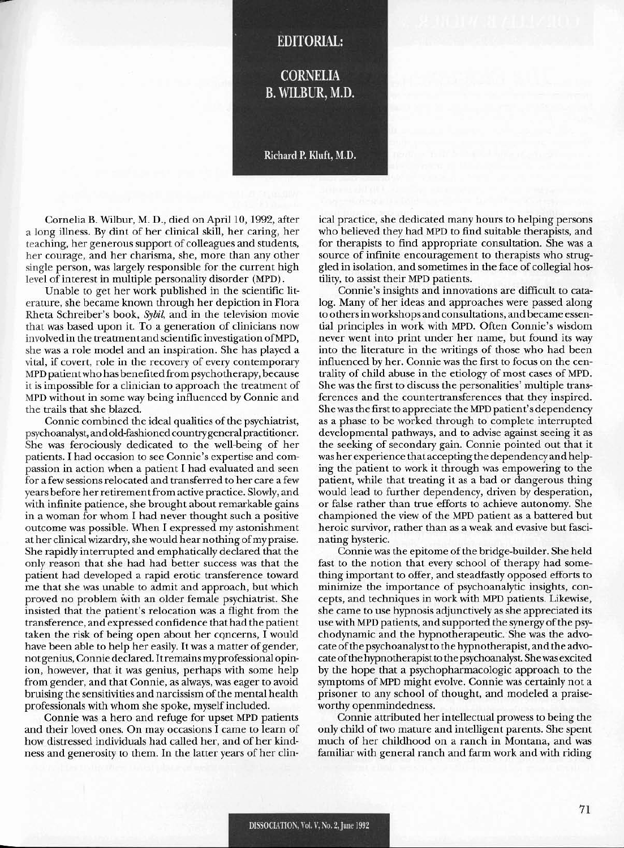## **EDITORIAL:**

**CORNELIA** B. WILBUR, M.D.

## Richard P. Kluft, M.D.

Cornelia B. Wilbur, M. D., died on April 10, 1992, after a long illness. By dint of her clinical skill, her caring, her teaching, her generous support of colleagues and students, her courage, and her charisma, she, more than any other single person, was largely responsible for the current high level of interest in multiple personality disorder (MPD).

Unable to get her work published in the scientific literature, she became known through her depiction in Flora Rheta Schreiber's book, *Sybil,* and in the television movie that was based upon it. To a generation of clinicians now involved in the treatment andscientific investigation ofMPD, she was a role model and an inspiration. She has played a vital, if covert, role in the recovery of every contemporary MPD patientwho has benefited from psychotherapy, because it is impossible for a clinician to approach the treatment of MPD without in some way being influenced by Connie and the trails that she blazed.

Connie combined the ideal qualities of the psychiatrist, psychoanalyst, and old-fashioned country general practitioner. She was ferociously dedicated to the well-being of her patients. I had occasion to see Connie's expertise and compassion in action when a patient I had evaluated and seen for a few sessions relocated and transferred to her care a few years before her retirement from active practice. Slowly, and with infinite patience, she brought about remarkable gains in a woman for whom I had never thought such a positive outcomc was possible. 'When I cxpressed my astonishment at her clinical wizardry, she would hear nothing of my praise. She rapidly interrupted and emphatically declared that the only reason that she had had better success was lhat the patient had developed a rapid erotic transference toward me that she was unable to admit and approach, but which proved no problem wilh an older female psychiatrist. She insisted that the patient's relocation was a flight from the transference, and expressed confidence that had the patient taken the risk of being open about her concerns, I would have been able to help her easily. It was a matter of gender, not genius, Connie declared. Itremains my professional opinion, however, that it was genius, perhaps with some help from gender, and that Connie, as always, was eager to avoid bruising the sensitivities and narcissism of the mental health professionals with whom she spoke, myself included.

Connie was a hero and refuge for upset MPD patients and their loved ones. On may occasions I came to learn of how distressed individuals had called her, and of her kindness and generosity to them. In the latter years of her clinical practice, she dedicated many hours to helping persons who believed they had MPD to find suitable therapists, and for therapists to find appropriate consultation. She was a source of infinite encouragement to therapists who struggled in isolation, and sometimes in the face of collegial hostility, to assist their MPD patients.

Connie's insights and innovations are difficult to catalog. Many of her ideas and approaches were passed along to othersin workshops and consultations, and became essential principles in work wilh MPD. Often Connie's wisdom never went into print under her name, but found its way into the literature in the writings of those who had been influenced by her. Connie was the first to focus on the centrality of child abuse in the etiology of most cases of MPD. She was the first to discuss the personalities' multiple transferences and the countertransferences that they inspired. Shewasthe first to appreciate the MPD patient's dependency as a phase to be worked through to complete interrupted developmental pathways, and to advise against seeing it as the seeking of secondary gain. Connie pointed out that it was her experience that accepting the dependency and helping the patient to work it through was empowering to the patient, while that treating it as a bad or dangerous thing would lead to further dependency, driven by desperation, or false rather than true efforts to achieve autonomy. She championed the view of the MPD patient as a battered but heroic survivor, rather than as a weak and evasive but fascinating hysteric.

Connie was the epitome of the bridge-builder. She held fast to the notion that every school of therapy had something important to offer, and steadfastly opposed efforts to minimize the importance of psychoanalytic insights, concepts, and techniques in work with MPD patients. Likewise, she came to use hypnosis adjunctively as she appreciated its use with MPD patients, and supported the synergy of the psychodynamic and the hypnotherapeutic. She was the advocate of the psychoanalyst to the hypnotherapist, and the advocate of the hypnotherapist to the psychoanalyst. She was excited by the hope that a psychopharmacologic approach to the symptoms of MPD might evolve. Connie was certainly not a prisoner to any school of thought, and modeled a praiseworthy openmindedness.

Connie attributed her intellectual prowess to being the only child oftwo mature and intelligent parents. She spent much of her childhood on a ranch in Montana, and was familiar with general ranch and farm work and with riding